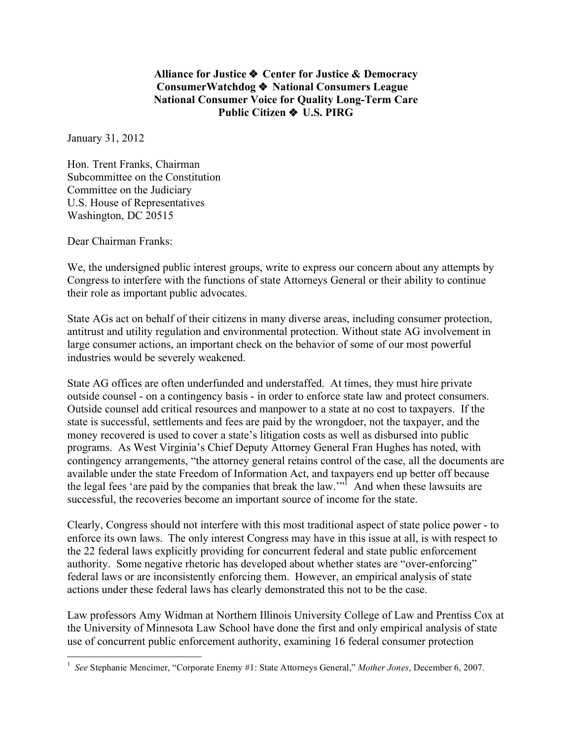**Alliance for Justice** ❖ **Center for Justice & Democracy ConsumerWatchdog** ❖ **National Consumers League National Consumer Voice for Quality Long-Term Care Public Citizen** ❖ **U.S. PIRG**

January 31, 2012

Hon. Trent Franks, Chairman Subcommittee on the Constitution Committee on the Judiciary U.S. House of Representatives Washington, DC 20515

Dear Chairman Franks:

We, the undersigned public interest groups, write to express our concern about any attempts by Congress to interfere with the functions of state Attorneys General or their ability to continue their role as important public advocates.

State AGs act on behalf of their citizens in many diverse areas, including consumer protection, antitrust and utility regulation and environmental protection. Without state AG involvement in large consumer actions, an important check on the behavior of some of our most powerful industries would be severely weakened.

State AG offices are often underfunded and understaffed. At times, they must hire private outside counsel - on a contingency basis - in order to enforce state law and protect consumers. Outside counsel add critical resources and manpower to a state at no cost to taxpayers. If the state is successful, settlements and fees are paid by the wrongdoer, not the taxpayer, and the money recovered is used to cover a state's litigation costs as well as disbursed into public programs. As West Virginia's Chief Deputy Attorney General Fran Hughes has noted, with contingency arrangements, "the attorney general retains control of the case, all the documents are available under the state Freedom of Information Act, and taxpayers end up better off because the legal fees 'are paid by the companies that break the law."<sup>1</sup> And when these lawsuits are successful, the recoveries become an important source of income for the state.

Clearly, Congress should not interfere with this most traditional aspect of state police power - to enforce its own laws. The only interest Congress may have in this issue at all, is with respect to the 22 federal laws explicitly providing for concurrent federal and state public enforcement authority. Some negative rhetoric has developed about whether states are "over-enforcing" federal laws or are inconsistently enforcing them. However, an empirical analysis of state actions under these federal laws has clearly demonstrated this not to be the case.

Law professors Amy Widman at Northern Illinois University College of Law and Prentiss Cox at the University of Minnesota Law School have done the first and only empirical analysis of state use of concurrent public enforcement authority, examining 16 federal consumer protection

 $\frac{1}{1}$ *See* Stephanie Mencimer, "Corporate Enemy #1: State Attorneys General," *Mother Jones*, December 6, 2007.